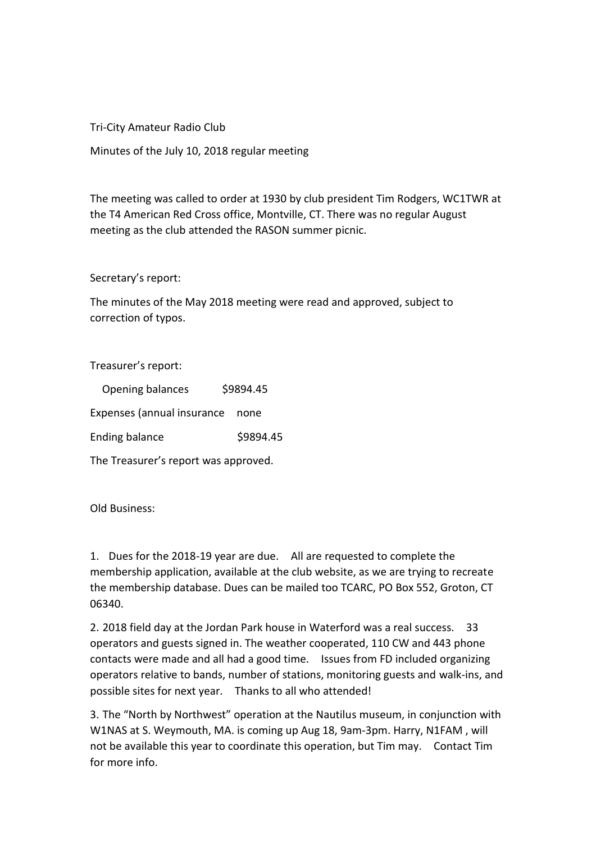Tri-City Amateur Radio Club

Minutes of the July 10, 2018 regular meeting

The meeting was called to order at 1930 by club president Tim Rodgers, WC1TWR at the T4 American Red Cross office, Montville, CT. There was no regular August meeting as the club attended the RASON summer picnic.

## Secretary's report:

The minutes of the May 2018 meeting were read and approved, subject to correction of typos.

Treasurer's report:

| Opening balances                     | \$9894.45 |
|--------------------------------------|-----------|
| Expenses (annual insurance           | none      |
| <b>Ending balance</b>                | \$9894.45 |
| The Treasurer's report was approved. |           |

Old Business:

1. Dues for the 2018-19 year are due. All are requested to complete the membership application, available at the club website, as we are trying to recreate the membership database. Dues can be mailed too TCARC, PO Box 552, Groton, CT 06340.

2. 2018 field day at the Jordan Park house in Waterford was a real success. 33 operators and guests signed in. The weather cooperated, 110 CW and 443 phone contacts were made and all had a good time. Issues from FD included organizing operators relative to bands, number of stations, monitoring guests and walk-ins, and possible sites for next year. Thanks to all who attended!

3. The "North by Northwest" operation at the Nautilus museum, in conjunction with W1NAS at S. Weymouth, MA. is coming up Aug 18, 9am-3pm. Harry, N1FAM , will not be available this year to coordinate this operation, but Tim may. Contact Tim for more info.